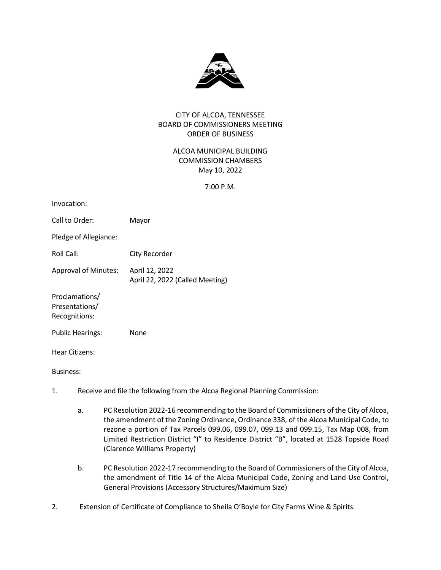

## CITY OF ALCOA, TENNESSEE BOARD OF COMMISSIONERS MEETING ORDER OF BUSINESS

# ALCOA MUNICIPAL BUILDING COMMISSION CHAMBERS May 10, 2022

7:00 P.M.

| Invocation:                                       |                                                   |
|---------------------------------------------------|---------------------------------------------------|
| Call to Order:                                    | Mayor                                             |
| Pledge of Allegiance:                             |                                                   |
| Roll Call:                                        | City Recorder                                     |
| <b>Approval of Minutes:</b>                       | April 12, 2022<br>April 22, 2022 (Called Meeting) |
| Proclamations/<br>Presentations/<br>Recognitions: |                                                   |
| <b>Public Hearings:</b>                           | None                                              |
| Hear Citizens:                                    |                                                   |

Business:

- 1. Receive and file the following from the Alcoa Regional Planning Commission:
	- a. PC Resolution 2022-16 recommending to the Board of Commissioners of the City of Alcoa, the amendment of the Zoning Ordinance, Ordinance 338, of the Alcoa Municipal Code, to rezone a portion of Tax Parcels 099.06, 099.07, 099.13 and 099.15, Tax Map 008, from Limited Restriction District "I" to Residence District "B", located at 1528 Topside Road (Clarence Williams Property)
	- b. PC Resolution 2022-17 recommending to the Board of Commissioners of the City of Alcoa, the amendment of Title 14 of the Alcoa Municipal Code, Zoning and Land Use Control, General Provisions (Accessory Structures/Maximum Size)
- 2. Extension of Certificate of Compliance to Sheila O'Boyle for City Farms Wine & Spirits.